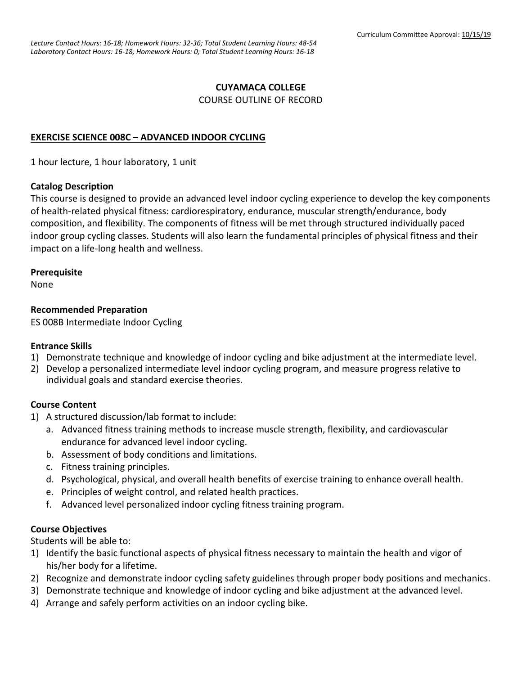## **CUYAMACA COLLEGE** COURSE OUTLINE OF RECORD

## **EXERCISE SCIENCE 008C – ADVANCED INDOOR CYCLING**

1 hour lecture, 1 hour laboratory, 1 unit

#### **Catalog Description**

This course is designed to provide an advanced level indoor cycling experience to develop the key components of health-related physical fitness: cardiorespiratory, endurance, muscular strength/endurance, body composition, and flexibility. The components of fitness will be met through structured individually paced indoor group cycling classes. Students will also learn the fundamental principles of physical fitness and their impact on a life-long health and wellness.

## **Prerequisite**

None

## **Recommended Preparation**

ES 008B Intermediate Indoor Cycling

#### **Entrance Skills**

- 1) Demonstrate technique and knowledge of indoor cycling and bike adjustment at the intermediate level.
- 2) Develop a personalized intermediate level indoor cycling program, and measure progress relative to individual goals and standard exercise theories.

## **Course Content**

- 1) A structured discussion/lab format to include:
	- a. Advanced fitness training methods to increase muscle strength, flexibility, and cardiovascular endurance for advanced level indoor cycling.
	- b. Assessment of body conditions and limitations.
	- c. Fitness training principles.
	- d. Psychological, physical, and overall health benefits of exercise training to enhance overall health.
	- e. Principles of weight control, and related health practices.
	- f. Advanced level personalized indoor cycling fitness training program.

## **Course Objectives**

Students will be able to:

- 1) Identify the basic functional aspects of physical fitness necessary to maintain the health and vigor of his/her body for a lifetime.
- 2) Recognize and demonstrate indoor cycling safety guidelines through proper body positions and mechanics.
- 3) Demonstrate technique and knowledge of indoor cycling and bike adjustment at the advanced level.
- 4) Arrange and safely perform activities on an indoor cycling bike.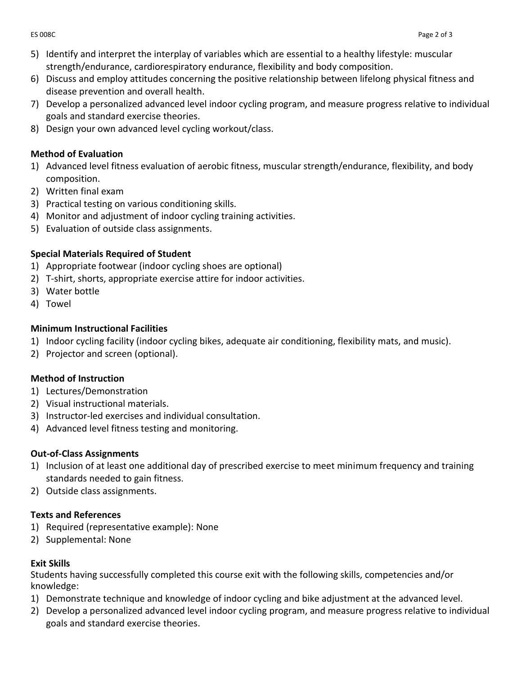- 5) Identify and interpret the interplay of variables which are essential to a healthy lifestyle: muscular strength/endurance, cardiorespiratory endurance, flexibility and body composition.
- 6) Discuss and employ attitudes concerning the positive relationship between lifelong physical fitness and disease prevention and overall health.
- 7) Develop a personalized advanced level indoor cycling program, and measure progress relative to individual goals and standard exercise theories.
- 8) Design your own advanced level cycling workout/class.

## **Method of Evaluation**

- 1) Advanced level fitness evaluation of aerobic fitness, muscular strength/endurance, flexibility, and body composition.
- 2) Written final exam
- 3) Practical testing on various conditioning skills.
- 4) Monitor and adjustment of indoor cycling training activities.
- 5) Evaluation of outside class assignments.

## **Special Materials Required of Student**

- 1) Appropriate footwear (indoor cycling shoes are optional)
- 2) T-shirt, shorts, appropriate exercise attire for indoor activities.
- 3) Water bottle
- 4) Towel

# **Minimum Instructional Facilities**

- 1) Indoor cycling facility (indoor cycling bikes, adequate air conditioning, flexibility mats, and music).
- 2) Projector and screen (optional).

# **Method of Instruction**

- 1) Lectures/Demonstration
- 2) Visual instructional materials.
- 3) Instructor-led exercises and individual consultation.
- 4) Advanced level fitness testing and monitoring.

# **Out-of-Class Assignments**

- 1) Inclusion of at least one additional day of prescribed exercise to meet minimum frequency and training standards needed to gain fitness.
- 2) Outside class assignments.

# **Texts and References**

- 1) Required (representative example): None
- 2) Supplemental: None

# **Exit Skills**

Students having successfully completed this course exit with the following skills, competencies and/or knowledge:

- 1) Demonstrate technique and knowledge of indoor cycling and bike adjustment at the advanced level.
- 2) Develop a personalized advanced level indoor cycling program, and measure progress relative to individual goals and standard exercise theories.